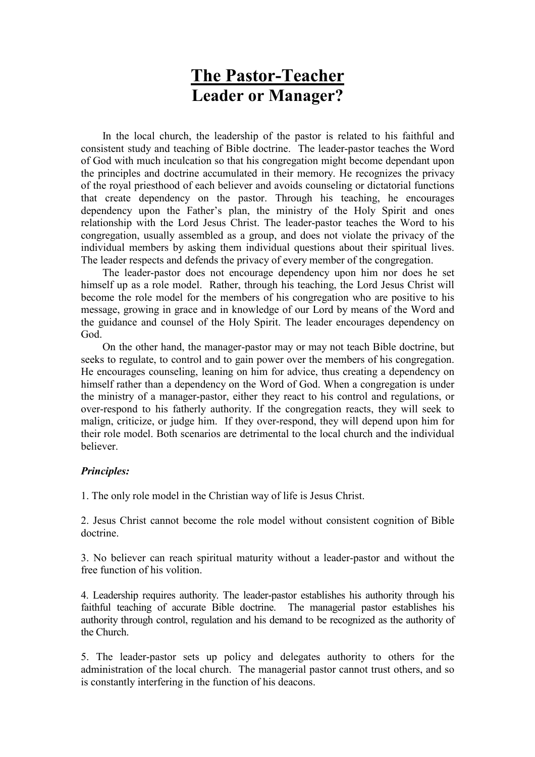## The Pastor-Teacher Leader or Manager?

 In the local church, the leadership of the pastor is related to his faithful and consistent study and teaching of Bible doctrine. The leader-pastor teaches the Word of God with much inculcation so that his congregation might become dependant upon the principles and doctrine accumulated in their memory. He recognizes the privacy of the royal priesthood of each believer and avoids counseling or dictatorial functions that create dependency on the pastor. Through his teaching, he encourages dependency upon the Father's plan, the ministry of the Holy Spirit and ones relationship with the Lord Jesus Christ. The leader-pastor teaches the Word to his congregation, usually assembled as a group, and does not violate the privacy of the individual members by asking them individual questions about their spiritual lives. The leader respects and defends the privacy of every member of the congregation.

 The leader-pastor does not encourage dependency upon him nor does he set himself up as a role model. Rather, through his teaching, the Lord Jesus Christ will become the role model for the members of his congregation who are positive to his message, growing in grace and in knowledge of our Lord by means of the Word and the guidance and counsel of the Holy Spirit. The leader encourages dependency on God.

 On the other hand, the manager-pastor may or may not teach Bible doctrine, but seeks to regulate, to control and to gain power over the members of his congregation. He encourages counseling, leaning on him for advice, thus creating a dependency on himself rather than a dependency on the Word of God. When a congregation is under the ministry of a manager-pastor, either they react to his control and regulations, or over-respond to his fatherly authority. If the congregation reacts, they will seek to malign, criticize, or judge him. If they over-respond, they will depend upon him for their role model. Both scenarios are detrimental to the local church and the individual believer.

## Principles:

1. The only role model in the Christian way of life is Jesus Christ.

2. Jesus Christ cannot become the role model without consistent cognition of Bible doctrine.

3. No believer can reach spiritual maturity without a leader-pastor and without the free function of his volition.

4. Leadership requires authority. The leader-pastor establishes his authority through his faithful teaching of accurate Bible doctrine. The managerial pastor establishes his authority through control, regulation and his demand to be recognized as the authority of the Church.

5. The leader-pastor sets up policy and delegates authority to others for the administration of the local church. The managerial pastor cannot trust others, and so is constantly interfering in the function of his deacons.